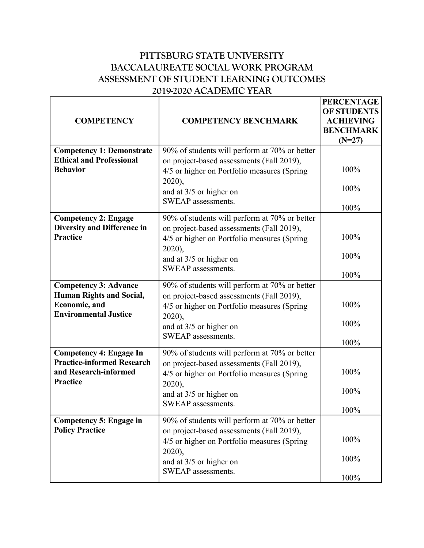## **PITTSBURG STATE UNIVERSITY BACCALAUREATE SOCIAL WORK PROGRAM ASSESSMENT OF STUDENT LEARNING OUTCOMES 2019-2020 ACADEMIC YEAR**

| <b>COMPETENCY</b>                                                                                                        | <b>COMPETENCY BENCHMARK</b>                                                                                                                                                                          | <b>PERCENTAGE</b><br><b>OF STUDENTS</b><br><b>ACHIEVING</b><br><b>BENCHMARK</b><br>$(N=27)$ |
|--------------------------------------------------------------------------------------------------------------------------|------------------------------------------------------------------------------------------------------------------------------------------------------------------------------------------------------|---------------------------------------------------------------------------------------------|
| <b>Competency 1: Demonstrate</b><br><b>Ethical and Professional</b><br><b>Behavior</b>                                   | 90% of students will perform at 70% or better<br>on project-based assessments (Fall 2019),<br>4/5 or higher on Portfolio measures (Spring<br>2020),<br>and at 3/5 or higher on<br>SWEAP assessments. | 100%<br>100%<br>100%                                                                        |
| <b>Competency 2: Engage</b><br><b>Diversity and Difference in</b><br><b>Practice</b>                                     | 90% of students will perform at 70% or better<br>on project-based assessments (Fall 2019),<br>4/5 or higher on Portfolio measures (Spring<br>2020),<br>and at 3/5 or higher on<br>SWEAP assessments. | 100%<br>100%<br>100%                                                                        |
| <b>Competency 3: Advance</b><br><b>Human Rights and Social,</b><br><b>Economic</b> , and<br><b>Environmental Justice</b> | 90% of students will perform at 70% or better<br>on project-based assessments (Fall 2019),<br>4/5 or higher on Portfolio measures (Spring<br>2020),<br>and at 3/5 or higher on<br>SWEAP assessments. | 100%<br>100%<br>100%                                                                        |
| <b>Competency 4: Engage In</b><br><b>Practice-informed Research</b><br>and Research-informed<br><b>Practice</b>          | 90% of students will perform at 70% or better<br>on project-based assessments (Fall 2019),<br>4/5 or higher on Portfolio measures (Spring<br>2020),<br>and at 3/5 or higher on<br>SWEAP assessments. | 100%<br>100%<br>100%                                                                        |
| <b>Competency 5: Engage in</b><br><b>Policy Practice</b>                                                                 | 90% of students will perform at 70% or better<br>on project-based assessments (Fall 2019),<br>4/5 or higher on Portfolio measures (Spring<br>2020),<br>and at 3/5 or higher on<br>SWEAP assessments. | 100%<br>100%<br>100%                                                                        |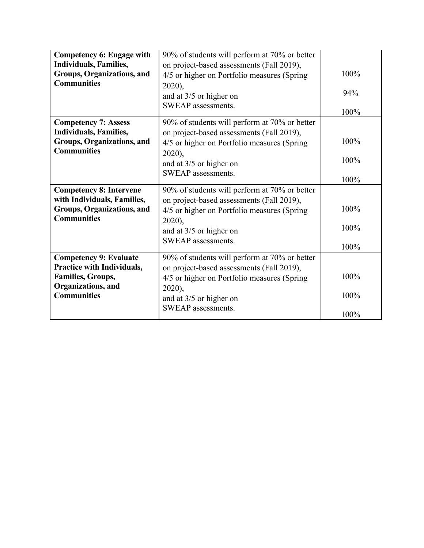| <b>Competency 6: Engage with</b>                            | 90% of students will perform at 70% or better                                            |      |
|-------------------------------------------------------------|------------------------------------------------------------------------------------------|------|
| <b>Individuals, Families,</b><br>Groups, Organizations, and | on project-based assessments (Fall 2019),<br>4/5 or higher on Portfolio measures (Spring | 100% |
| <b>Communities</b>                                          | $2020$ ,                                                                                 |      |
|                                                             | and at $3/5$ or higher on                                                                | 94%  |
|                                                             | <b>SWEAP</b> assessments.                                                                |      |
|                                                             |                                                                                          | 100% |
| <b>Competency 7: Assess</b>                                 | 90% of students will perform at 70% or better                                            |      |
| <b>Individuals, Families,</b><br>Groups, Organizations, and | on project-based assessments (Fall 2019),                                                | 100% |
| <b>Communities</b>                                          | 4/5 or higher on Portfolio measures (Spring<br>2020),                                    |      |
|                                                             | and at 3/5 or higher on                                                                  | 100% |
|                                                             | <b>SWEAP</b> assessments.                                                                |      |
|                                                             |                                                                                          | 100% |
| <b>Competency 8: Intervene</b>                              | 90% of students will perform at 70% or better                                            |      |
| with Individuals, Families,                                 | on project-based assessments (Fall 2019),                                                |      |
| Groups, Organizations, and<br><b>Communities</b>            | 4/5 or higher on Portfolio measures (Spring                                              | 100% |
|                                                             | $2020$ ),                                                                                | 100% |
|                                                             | and at $3/5$ or higher on                                                                |      |
|                                                             | <b>SWEAP</b> assessments.                                                                | 100% |
| <b>Competency 9: Evaluate</b>                               | 90% of students will perform at 70% or better                                            |      |
| Practice with Individuals,                                  | on project-based assessments (Fall 2019),                                                |      |
| <b>Families, Groups,</b>                                    | 4/5 or higher on Portfolio measures (Spring                                              | 100% |
| Organizations, and<br><b>Communities</b>                    | $2020$ ,                                                                                 | 100% |
|                                                             | and at 3/5 or higher on                                                                  |      |
|                                                             | SWEAP assessments.                                                                       | 100% |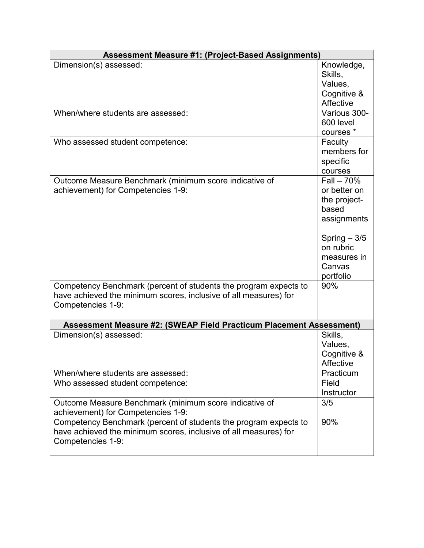| <b>Assessment Measure #1: (Project-Based Assignments)</b>           |               |  |  |  |  |
|---------------------------------------------------------------------|---------------|--|--|--|--|
| Dimension(s) assessed:                                              | Knowledge,    |  |  |  |  |
|                                                                     | Skills,       |  |  |  |  |
|                                                                     | Values,       |  |  |  |  |
|                                                                     | Cognitive &   |  |  |  |  |
|                                                                     | Affective     |  |  |  |  |
| When/where students are assessed:                                   | Various 300-  |  |  |  |  |
|                                                                     | 600 level     |  |  |  |  |
|                                                                     | courses *     |  |  |  |  |
| Who assessed student competence:                                    | Faculty       |  |  |  |  |
|                                                                     | members for   |  |  |  |  |
|                                                                     | specific      |  |  |  |  |
|                                                                     | courses       |  |  |  |  |
| Outcome Measure Benchmark (minimum score indicative of              | $Fall - 70\%$ |  |  |  |  |
| achievement) for Competencies 1-9:                                  | or better on  |  |  |  |  |
|                                                                     | the project-  |  |  |  |  |
|                                                                     | based         |  |  |  |  |
|                                                                     | assignments   |  |  |  |  |
|                                                                     | Spring $-3/5$ |  |  |  |  |
|                                                                     | on rubric     |  |  |  |  |
|                                                                     | measures in   |  |  |  |  |
|                                                                     | Canvas        |  |  |  |  |
|                                                                     | portfolio     |  |  |  |  |
| Competency Benchmark (percent of students the program expects to    | 90%           |  |  |  |  |
| have achieved the minimum scores, inclusive of all measures) for    |               |  |  |  |  |
| Competencies 1-9:                                                   |               |  |  |  |  |
|                                                                     |               |  |  |  |  |
| Assessment Measure #2: (SWEAP Field Practicum Placement Assessment) |               |  |  |  |  |
| Dimension(s) assessed:                                              | Skills,       |  |  |  |  |
|                                                                     | Values,       |  |  |  |  |
|                                                                     | Cognitive &   |  |  |  |  |
|                                                                     | Affective     |  |  |  |  |
| When/where students are assessed:                                   | Practicum     |  |  |  |  |
| Who assessed student competence:                                    | Field         |  |  |  |  |
|                                                                     | Instructor    |  |  |  |  |
| Outcome Measure Benchmark (minimum score indicative of              | 3/5           |  |  |  |  |
| achievement) for Competencies 1-9:                                  |               |  |  |  |  |
| Competency Benchmark (percent of students the program expects to    | 90%           |  |  |  |  |
| have achieved the minimum scores, inclusive of all measures) for    |               |  |  |  |  |
| Competencies 1-9:                                                   |               |  |  |  |  |
|                                                                     |               |  |  |  |  |